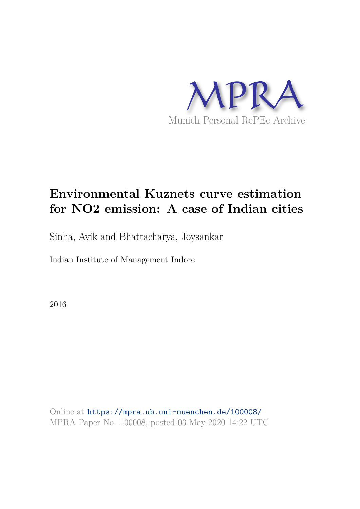

# **Environmental Kuznets curve estimation for NO2 emission: A case of Indian cities**

Sinha, Avik and Bhattacharya, Joysankar

Indian Institute of Management Indore

2016

Online at https://mpra.ub.uni-muenchen.de/100008/ MPRA Paper No. 100008, posted 03 May 2020 14:22 UTC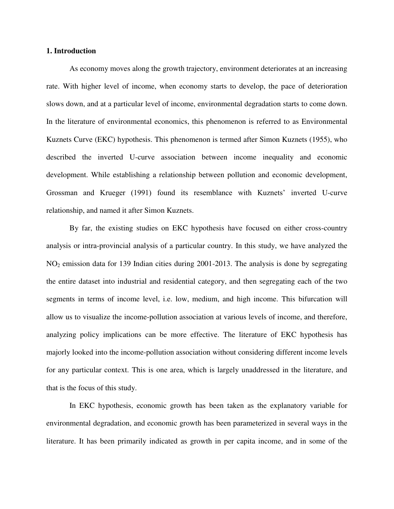#### **1. Introduction**

As economy moves along the growth trajectory, environment deteriorates at an increasing rate. With higher level of income, when economy starts to develop, the pace of deterioration slows down, and at a particular level of income, environmental degradation starts to come down. In the literature of environmental economics, this phenomenon is referred to as Environmental Kuznets Curve (EKC) hypothesis. This phenomenon is termed after Simon Kuznets (1955), who described the inverted U-curve association between income inequality and economic development. While establishing a relationship between pollution and economic development, Grossman and Krueger (1991) found its resemblance with Kuznets' inverted U-curve relationship, and named it after Simon Kuznets.

By far, the existing studies on EKC hypothesis have focused on either cross-country analysis or intra-provincial analysis of a particular country. In this study, we have analyzed the NO2 emission data for 139 Indian cities during 2001-2013. The analysis is done by segregating the entire dataset into industrial and residential category, and then segregating each of the two segments in terms of income level, i.e. low, medium, and high income. This bifurcation will allow us to visualize the income-pollution association at various levels of income, and therefore, analyzing policy implications can be more effective. The literature of EKC hypothesis has majorly looked into the income-pollution association without considering different income levels for any particular context. This is one area, which is largely unaddressed in the literature, and that is the focus of this study.

In EKC hypothesis, economic growth has been taken as the explanatory variable for environmental degradation, and economic growth has been parameterized in several ways in the literature. It has been primarily indicated as growth in per capita income, and in some of the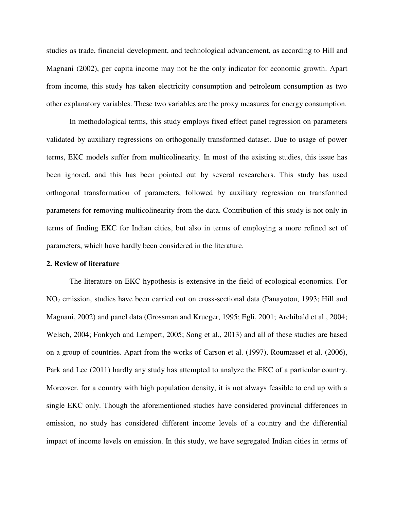studies as trade, financial development, and technological advancement, as according to Hill and Magnani (2002), per capita income may not be the only indicator for economic growth. Apart from income, this study has taken electricity consumption and petroleum consumption as two other explanatory variables. These two variables are the proxy measures for energy consumption.

In methodological terms, this study employs fixed effect panel regression on parameters validated by auxiliary regressions on orthogonally transformed dataset. Due to usage of power terms, EKC models suffer from multicolinearity. In most of the existing studies, this issue has been ignored, and this has been pointed out by several researchers. This study has used orthogonal transformation of parameters, followed by auxiliary regression on transformed parameters for removing multicolinearity from the data. Contribution of this study is not only in terms of finding EKC for Indian cities, but also in terms of employing a more refined set of parameters, which have hardly been considered in the literature.

#### **2. Review of literature**

The literature on EKC hypothesis is extensive in the field of ecological economics. For NO2 emission, studies have been carried out on cross-sectional data (Panayotou, 1993; Hill and Magnani, 2002) and panel data (Grossman and Krueger, 1995; Egli, 2001; Archibald et al., 2004; Welsch, 2004; Fonkych and Lempert, 2005; Song et al., 2013) and all of these studies are based on a group of countries. Apart from the works of Carson et al. (1997), Roumasset et al. (2006), Park and Lee (2011) hardly any study has attempted to analyze the EKC of a particular country. Moreover, for a country with high population density, it is not always feasible to end up with a single EKC only. Though the aforementioned studies have considered provincial differences in emission, no study has considered different income levels of a country and the differential impact of income levels on emission. In this study, we have segregated Indian cities in terms of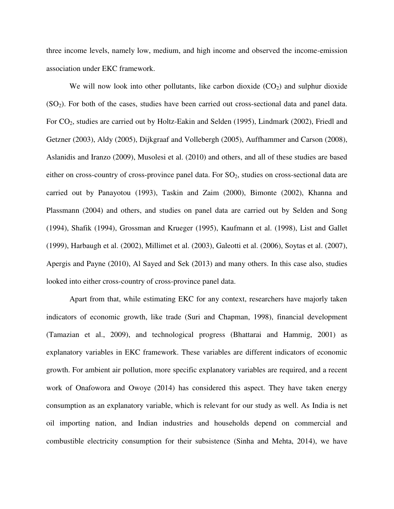three income levels, namely low, medium, and high income and observed the income-emission association under EKC framework.

We will now look into other pollutants, like carbon dioxide  $(CO<sub>2</sub>)$  and sulphur dioxide (SO2). For both of the cases, studies have been carried out cross-sectional data and panel data. For CO2, studies are carried out by Holtz-Eakin and Selden (1995), Lindmark (2002), Friedl and Getzner (2003), Aldy (2005), Dijkgraaf and Vollebergh (2005), Auffhammer and Carson (2008), Aslanidis and Iranzo (2009), Musolesi et al. (2010) and others, and all of these studies are based either on cross-country of cross-province panel data. For  $SO<sub>2</sub>$ , studies on cross-sectional data are carried out by Panayotou (1993), Taskin and Zaim (2000), Bimonte (2002), Khanna and Plassmann (2004) and others, and studies on panel data are carried out by Selden and Song (1994), Shafik (1994), Grossman and Krueger (1995), Kaufmann et al. (1998), List and Gallet (1999), Harbaugh et al. (2002), Millimet et al. (2003), Galeotti et al. (2006), Soytas et al. (2007), Apergis and Payne (2010), Al Sayed and Sek (2013) and many others. In this case also, studies looked into either cross-country of cross-province panel data.

Apart from that, while estimating EKC for any context, researchers have majorly taken indicators of economic growth, like trade (Suri and Chapman, 1998), financial development (Tamazian et al., 2009), and technological progress (Bhattarai and Hammig, 2001) as explanatory variables in EKC framework. These variables are different indicators of economic growth. For ambient air pollution, more specific explanatory variables are required, and a recent work of Onafowora and Owoye (2014) has considered this aspect. They have taken energy consumption as an explanatory variable, which is relevant for our study as well. As India is net oil importing nation, and Indian industries and households depend on commercial and combustible electricity consumption for their subsistence (Sinha and Mehta, 2014), we have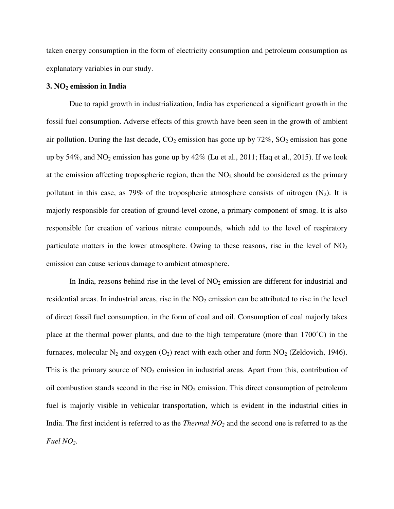taken energy consumption in the form of electricity consumption and petroleum consumption as explanatory variables in our study.

#### **3. NO2 emission in India**

Due to rapid growth in industrialization, India has experienced a significant growth in the fossil fuel consumption. Adverse effects of this growth have been seen in the growth of ambient air pollution. During the last decade,  $CO_2$  emission has gone up by  $72\%$ ,  $SO_2$  emission has gone up by 54%, and  $NO_2$  emission has gone up by 42% (Lu et al., 2011; Haq et al., 2015). If we look at the emission affecting tropospheric region, then the  $NO<sub>2</sub>$  should be considered as the primary pollutant in this case, as 79% of the tropospheric atmosphere consists of nitrogen  $(N_2)$ . It is majorly responsible for creation of ground-level ozone, a primary component of smog. It is also responsible for creation of various nitrate compounds, which add to the level of respiratory particulate matters in the lower atmosphere. Owing to these reasons, rise in the level of  $NO<sub>2</sub>$ emission can cause serious damage to ambient atmosphere.

In India, reasons behind rise in the level of  $NO<sub>2</sub>$  emission are different for industrial and residential areas. In industrial areas, rise in the  $NO<sub>2</sub>$  emission can be attributed to rise in the level of direct fossil fuel consumption, in the form of coal and oil. Consumption of coal majorly takes place at the thermal power plants, and due to the high temperature (more than  $1700^{\circ}$ C) in the furnaces, molecular  $N_2$  and oxygen  $(O_2)$  react with each other and form  $NO_2$  (Zeldovich, 1946). This is the primary source of  $NO<sub>2</sub>$  emission in industrial areas. Apart from this, contribution of oil combustion stands second in the rise in  $NO<sub>2</sub>$  emission. This direct consumption of petroleum fuel is majorly visible in vehicular transportation, which is evident in the industrial cities in India. The first incident is referred to as the *Thermal NO2* and the second one is referred to as the *Fuel NO2*.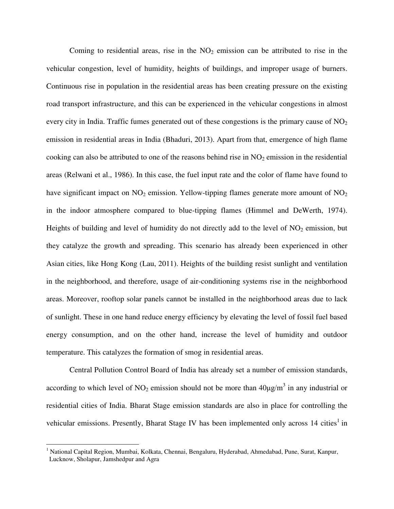Coming to residential areas, rise in the  $NO<sub>2</sub>$  emission can be attributed to rise in the vehicular congestion, level of humidity, heights of buildings, and improper usage of burners. Continuous rise in population in the residential areas has been creating pressure on the existing road transport infrastructure, and this can be experienced in the vehicular congestions in almost every city in India. Traffic fumes generated out of these congestions is the primary cause of  $NO<sub>2</sub>$ emission in residential areas in India (Bhaduri, 2013). Apart from that, emergence of high flame cooking can also be attributed to one of the reasons behind rise in  $NO<sub>2</sub>$  emission in the residential areas (Relwani et al., 1986). In this case, the fuel input rate and the color of flame have found to have significant impact on  $NO<sub>2</sub>$  emission. Yellow-tipping flames generate more amount of  $NO<sub>2</sub>$ in the indoor atmosphere compared to blue-tipping flames (Himmel and DeWerth, 1974). Heights of building and level of humidity do not directly add to the level of  $NO<sub>2</sub>$  emission, but they catalyze the growth and spreading. This scenario has already been experienced in other Asian cities, like Hong Kong (Lau, 2011). Heights of the building resist sunlight and ventilation in the neighborhood, and therefore, usage of air-conditioning systems rise in the neighborhood areas. Moreover, rooftop solar panels cannot be installed in the neighborhood areas due to lack of sunlight. These in one hand reduce energy efficiency by elevating the level of fossil fuel based energy consumption, and on the other hand, increase the level of humidity and outdoor temperature. This catalyzes the formation of smog in residential areas.

Central Pollution Control Board of India has already set a number of emission standards, according to which level of NO<sub>2</sub> emission should not be more than  $40\mu g/m^3$  in any industrial or residential cities of India. Bharat Stage emission standards are also in place for controlling the vehicular emissions. Presently, Bharat Stage IV has been implemented only across 14 cities<sup>1</sup> in

l

<sup>&</sup>lt;sup>1</sup> National Capital Region, Mumbai, Kolkata, Chennai, Bengaluru, Hyderabad, Ahmedabad, Pune, Surat, Kanpur, Lucknow, Sholapur, Jamshedpur and Agra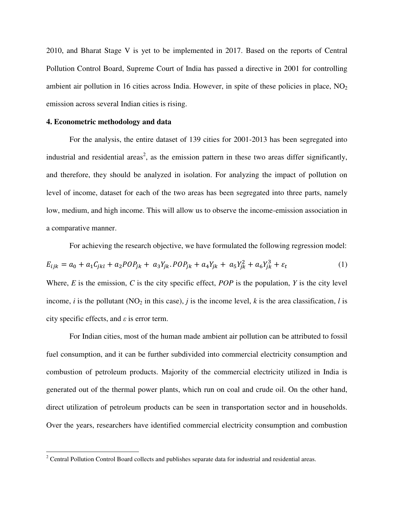2010, and Bharat Stage V is yet to be implemented in 2017. Based on the reports of Central Pollution Control Board, Supreme Court of India has passed a directive in 2001 for controlling ambient air pollution in 16 cities across India. However, in spite of these policies in place,  $NO<sub>2</sub>$ emission across several Indian cities is rising.

#### **4. Econometric methodology and data**

 $\overline{a}$ 

For the analysis, the entire dataset of 139 cities for 2001-2013 has been segregated into industrial and residential areas<sup>2</sup>, as the emission pattern in these two areas differ significantly, and therefore, they should be analyzed in isolation. For analyzing the impact of pollution on level of income, dataset for each of the two areas has been segregated into three parts, namely low, medium, and high income. This will allow us to observe the income-emission association in a comparative manner.

For achieving the research objective, we have formulated the following regression model:

$$
E_{ijk} = a_0 + a_1 C_{jkl} + a_2 P O P_{jk} + a_3 Y_{jk} . P O P_{jk} + a_4 Y_{jk} + a_5 Y_{jk}^2 + a_6 Y_{jk}^3 + \varepsilon_t
$$
 (1)

Where, *E* is the emission, *C* is the city specific effect, *POP* is the population, *Y* is the city level income, *i* is the pollutant (NO<sub>2</sub> in this case), *j* is the income level, *k* is the area classification, *l* is city specific effects, and *ε* is error term.

For Indian cities, most of the human made ambient air pollution can be attributed to fossil fuel consumption, and it can be further subdivided into commercial electricity consumption and combustion of petroleum products. Majority of the commercial electricity utilized in India is generated out of the thermal power plants, which run on coal and crude oil. On the other hand, direct utilization of petroleum products can be seen in transportation sector and in households. Over the years, researchers have identified commercial electricity consumption and combustion

<sup>&</sup>lt;sup>2</sup> Central Pollution Control Board collects and publishes separate data for industrial and residential areas.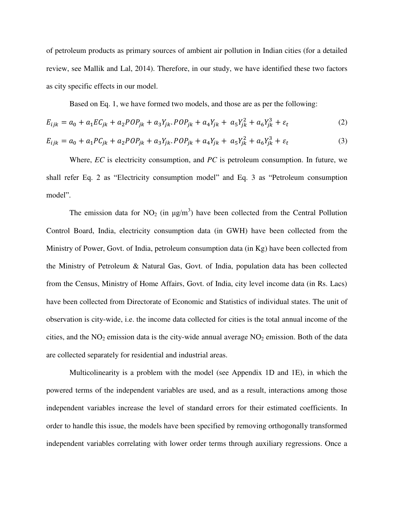of petroleum products as primary sources of ambient air pollution in Indian cities (for a detailed review, see Mallik and Lal, 2014). Therefore, in our study, we have identified these two factors as city specific effects in our model.

Based on Eq. 1, we have formed two models, and those are as per the following:

$$
E_{ijk} = a_0 + a_1 E C_{jk} + a_2 P O P_{jk} + a_3 Y_{jk} P O P_{jk} + a_4 Y_{jk} + a_5 Y_{jk}^2 + a_6 Y_{jk}^3 + \varepsilon_t
$$
 (2)

$$
E_{ijk} = a_0 + a_1 P C_{jk} + a_2 P O P_{jk} + a_3 Y_{jk} . P O P_{jk} + a_4 Y_{jk} + a_5 Y_{jk}^2 + a_6 Y_{jk}^3 + \varepsilon_t
$$
\n(3)

Where, *EC* is electricity consumption, and *PC* is petroleum consumption. In future, we shall refer Eq. 2 as "Electricity consumption model" and Eq. 3 as "Petroleum consumption model".

The emission data for NO<sub>2</sub> (in  $\mu$ g/m<sup>3</sup>) have been collected from the Central Pollution Control Board, India, electricity consumption data (in GWH) have been collected from the Ministry of Power, Govt. of India, petroleum consumption data (in Kg) have been collected from the Ministry of Petroleum & Natural Gas, Govt. of India, population data has been collected from the Census, Ministry of Home Affairs, Govt. of India, city level income data (in Rs. Lacs) have been collected from Directorate of Economic and Statistics of individual states. The unit of observation is city-wide, i.e. the income data collected for cities is the total annual income of the cities, and the  $NO<sub>2</sub>$  emission data is the city-wide annual average  $NO<sub>2</sub>$  emission. Both of the data are collected separately for residential and industrial areas.

Multicolinearity is a problem with the model (see Appendix 1D and 1E), in which the powered terms of the independent variables are used, and as a result, interactions among those independent variables increase the level of standard errors for their estimated coefficients. In order to handle this issue, the models have been specified by removing orthogonally transformed independent variables correlating with lower order terms through auxiliary regressions. Once a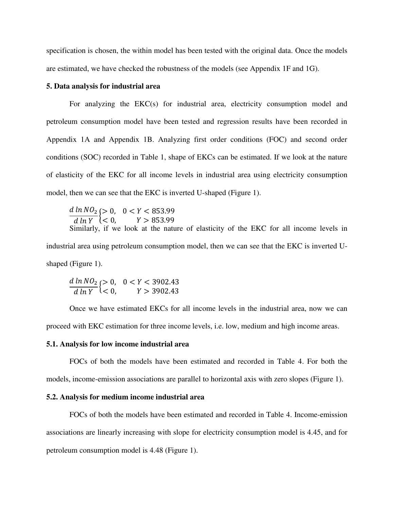specification is chosen, the within model has been tested with the original data. Once the models are estimated, we have checked the robustness of the models (see Appendix 1F and 1G).

#### **5. Data analysis for industrial area**

For analyzing the EKC(s) for industrial area, electricity consumption model and petroleum consumption model have been tested and regression results have been recorded in Appendix 1A and Appendix 1B. Analyzing first order conditions (FOC) and second order conditions (SOC) recorded in Table 1, shape of EKCs can be estimated. If we look at the nature of elasticity of the EKC for all income levels in industrial area using electricity consumption model, then we can see that the EKC is inverted U-shaped (Figure 1).

 $\boldsymbol{d}$ d<br>. |><br>|<br>| <  $\leq$ Similarly, if we look at the nature of elasticity of the EKC for all income levels in industrial area using petroleum consumption model, then we can see that the EKC is inverted Ushaped (Figure 1).

$$
\frac{d \ln NO_2}{d \ln Y} \begin{cases} > 0, & 0 < Y < 3902.43 \\ < 0, & Y > 3902.43 \end{cases}
$$

Once we have estimated EKCs for all income levels in the industrial area, now we can proceed with EKC estimation for three income levels, i.e. low, medium and high income areas.

#### **5.1. Analysis for low income industrial area**

FOCs of both the models have been estimated and recorded in Table 4. For both the models, income-emission associations are parallel to horizontal axis with zero slopes (Figure 1).

### **5.2. Analysis for medium income industrial area**

FOCs of both the models have been estimated and recorded in Table 4. Income-emission associations are linearly increasing with slope for electricity consumption model is 4.45, and for petroleum consumption model is 4.48 (Figure 1).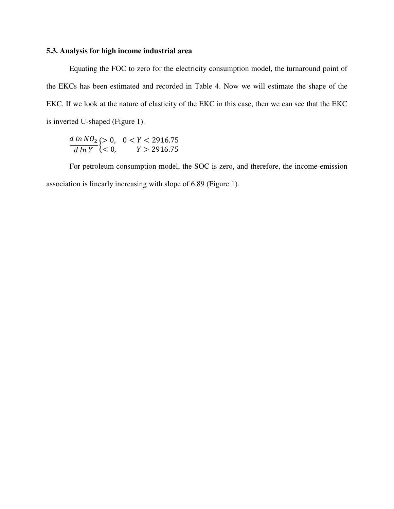## **5.3. Analysis for high income industrial area**

Equating the FOC to zero for the electricity consumption model, the turnaround point of the EKCs has been estimated and recorded in Table 4. Now we will estimate the shape of the EKC. If we look at the nature of elasticity of the EKC in this case, then we can see that the EKC is inverted U-shaped (Figure 1).

 $\boldsymbol{d}$  $\boldsymbol{d}$ |><br>|<br>| <  $\leq$ 

For petroleum consumption model, the SOC is zero, and therefore, the income-emission association is linearly increasing with slope of 6.89 (Figure 1).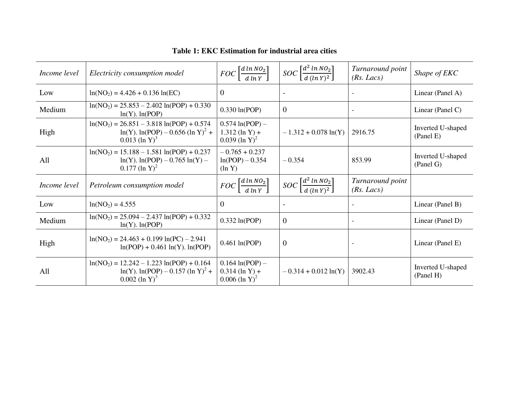| Income level | Electricity consumption model                                                                                          | $FOC\left[\frac{d \ln NO_2}{d \ln Y}\right]$                          | $SOC \left[ \frac{d^2 \ln NO_2}{d \left( \ln Y \right)^2} \right]$ | Turnaround point<br>(Rs. Lacs) | Shape of EKC                   |
|--------------|------------------------------------------------------------------------------------------------------------------------|-----------------------------------------------------------------------|--------------------------------------------------------------------|--------------------------------|--------------------------------|
| Low          | $ln(NO2) = 4.426 + 0.136 ln(EC)$                                                                                       | $\overline{0}$                                                        | $\overline{\phantom{a}}$                                           |                                | Linear (Panel A)               |
| Medium       | $ln(NO2) = 25.853 - 2.402 ln(POP) + 0.330$<br>$ln(Y)$ . $ln(POP)$                                                      | $0.330 \ln (POP)$                                                     | $\overline{0}$                                                     |                                | Linear (Panel C)               |
| High         | $ln(NO2) = 26.851 - 3.818 ln(POP) + 0.574$<br>$ln(Y)$ . $ln(POP) - 0.656$ $(ln Y)^2 +$<br>$0.013$ (ln Y) <sup>3</sup>  | $0.574 \ln(POP) -$<br>$1.312$ (ln Y) +<br>$0.039$ (ln Y) <sup>2</sup> | $-1.312 + 0.078 \ln(Y)$                                            | 2916.75                        | Inverted U-shaped<br>(Panel E) |
| All          | $ln(NO2) = 15.188 - 1.581 ln(POP) + 0.237$<br>$ln(Y)$ . $ln(POP) - 0.765 ln(Y) - 0.765$<br>$0.177$ (ln Y) <sup>2</sup> | $-0.765 + 0.237$<br>$ln(POP) - 0.354$<br>$(\ln Y)$                    | $-0.354$                                                           | 853.99                         | Inverted U-shaped<br>(Panel G) |
| Income level | Petroleum consumption model                                                                                            | $FOC\left[\frac{d \ln NO_2}{d \ln Y}\right]$                          | $SOC \left[ \frac{d^2 \ln NO_2}{d (ln Y)^2} \right]$               | Turnaround point<br>(Rs. Lacs) |                                |
| Low          | $ln(NO2) = 4.555$                                                                                                      | $\overline{0}$                                                        |                                                                    |                                | Linear (Panel B)               |
| Medium       | $ln(NO2) = 25.094 - 2.437 ln(POP) + 0.332$<br>$ln(Y)$ . $ln(POP)$                                                      | $0.332 \ln(POP)$                                                      | $\overline{0}$                                                     |                                | Linear (Panel D)               |
| High         | $ln(NO2) = 24.463 + 0.199 ln(PC) - 2.941$<br>$ln(POP) + 0.461 ln(Y)$ . $ln(POP)$                                       | $0.461 \ln (POP)$                                                     | $\boldsymbol{0}$                                                   |                                | Linear (Panel E)               |
| All          | $ln(NO2) = 12.242 - 1.223 ln(POP) + 0.164$<br>$ln(Y)$ . $ln(POP) - 0.157$ $(ln Y)^2 +$<br>$0.002$ (ln Y) <sup>3</sup>  | $0.164 \ln(POP) -$<br>$0.314$ (ln Y) +<br>$0.006$ (ln Y) <sup>2</sup> | $-0.314 + 0.012 \ln(Y)$                                            | 3902.43                        | Inverted U-shaped<br>(Panel H) |

**Table 1: EKC Estimation for industrial area cities**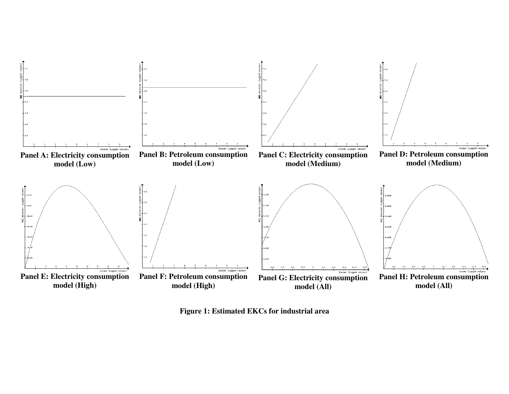

**Figure 1: Estimated EKCs for industrial area**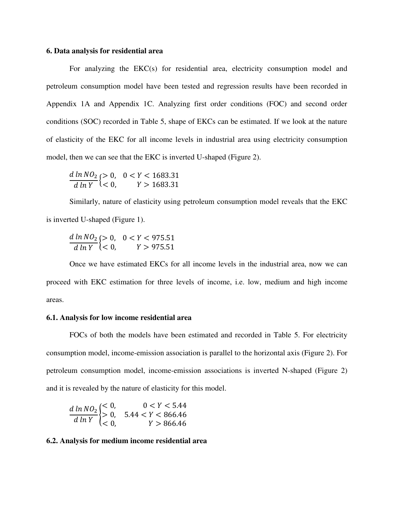#### **6. Data analysis for residential area**

For analyzing the EKC(s) for residential area, electricity consumption model and petroleum consumption model have been tested and regression results have been recorded in Appendix 1A and Appendix 1C. Analyzing first order conditions (FOC) and second order conditions (SOC) recorded in Table 5, shape of EKCs can be estimated. If we look at the nature of elasticity of the EKC for all income levels in industrial area using electricity consumption model, then we can see that the EKC is inverted U-shaped (Figure 2).

$$
\frac{d \ln NO_2}{d \ln Y} \begin{cases} > 0, & 0 < Y < 1683.31 \\ < 0, & Y > 1683.31 \end{cases}
$$

Similarly, nature of elasticity using petroleum consumption model reveals that the EKC is inverted U-shaped (Figure 1).

$$
\frac{d \ln NO_2}{d \ln Y} \begin{cases} > 0, & 0 < Y < 975.51 \\ < 0, & Y > 975.51 \end{cases}
$$

Once we have estimated EKCs for all income levels in the industrial area, now we can proceed with EKC estimation for three levels of income, i.e. low, medium and high income areas.

#### **6.1. Analysis for low income residential area**

FOCs of both the models have been estimated and recorded in Table 5. For electricity consumption model, income-emission association is parallel to the horizontal axis (Figure 2). For petroleum consumption model, income-emission associations is inverted N-shaped (Figure 2) and it is revealed by the nature of elasticity for this model.

$$
\frac{d \ln NO_2}{d \ln Y} \begin{cases} < 0, & 0 < Y < 5.44 \\ > 0, & 5.44 < Y < 866.46 \\ < 0, & Y > 866.46 \end{cases}
$$

#### **6.2. Analysis for medium income residential area**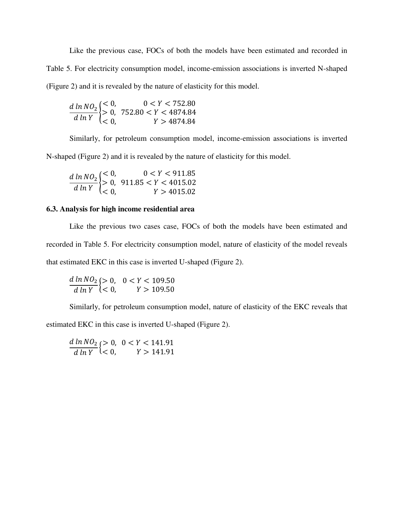Like the previous case, FOCs of both the models have been estimated and recorded in Table 5. For electricity consumption model, income-emission associations is inverted N-shaped (Figure 2) and it is revealed by the nature of elasticity for this model.

$$
\frac{d \ln NO_2}{d \ln Y} \begin{cases} < 0, \quad 0 < Y < 752.80 \\ > 0, \quad 752.80 < Y < 4874.84 \\ < 0, \quad Y > 4874.84 \end{cases}
$$

Similarly, for petroleum consumption model, income-emission associations is inverted

N-shaped (Figure 2) and it is revealed by the nature of elasticity for this model.

$$
\frac{d \ln NO_2}{d \ln Y} \begin{cases} < 0, & 0 < Y < 911.85 \\ > 0, & 911.85 < Y < 4015.02 \\ < 0, & Y > 4015.02 \end{cases}
$$

## **6.3. Analysis for high income residential area**

Like the previous two cases case, FOCs of both the models have been estimated and recorded in Table 5. For electricity consumption model, nature of elasticity of the model reveals that estimated EKC in this case is inverted U-shaped (Figure 2).

$$
\frac{d \ln NO_2}{d \ln Y}\left\{ > 0, \quad 0 < Y < 109.50\\ \nV > 109.50
$$

Similarly, for petroleum consumption model, nature of elasticity of the EKC reveals that

estimated EKC in this case is inverted U-shaped (Figure 2).

 $\boldsymbol{d}$  $\boldsymbol{d}$ {><br>{<  $\leq$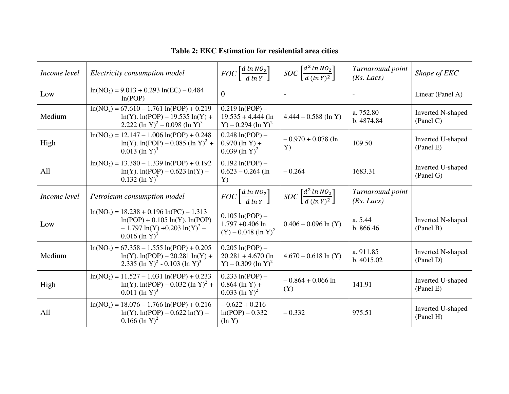| Income level | Electricity consumption model                                                                                                                           | $FOC\left[\frac{d \ln NO_2}{d \ln Y}\right]$                                  | $SOC\left[\frac{d^2 \ln NO_2}{d (ln V)^2}\right]$           | Turnaround point<br>(Rs. Lacs) | Shape of EKC                          |
|--------------|---------------------------------------------------------------------------------------------------------------------------------------------------------|-------------------------------------------------------------------------------|-------------------------------------------------------------|--------------------------------|---------------------------------------|
| Low          | $ln(NO2) = 9.013 + 0.293 ln(EC) - 0.484$<br>ln(POP)                                                                                                     | $\overline{0}$                                                                |                                                             |                                | Linear (Panel A)                      |
| Medium       | $ln(NO2) = 67.610 - 1.761 ln(POP) + 0.219$<br>$ln(Y)$ . $ln(POP) - 19.535 ln(Y) +$<br>2.222 (ln Y) <sup>2</sup> – 0.098 (ln Y) <sup>3</sup>             | $0.219 \ln (POP) -$<br>$19.535 + 4.444$ (ln<br>Y) – 0.294 (ln Y) <sup>2</sup> | $4.444 - 0.588$ (ln Y)                                      | a. 752.80<br>b. 4874.84        | <b>Inverted N-shaped</b><br>(Panel C) |
| High         | $ln(NO_2) = 12.147 - 1.006 ln(POP) + 0.248$<br>$ln(Y)$ . $ln(POP) - 0.085$ $(ln Y)^2 +$<br>$0.013$ (ln Y) <sup>3</sup>                                  | $0.248 \ln (POP) -$<br>$0.970$ (ln Y) +<br>$0.039$ (ln Y) <sup>2</sup>        | $-0.970 + 0.078$ (ln<br>Y)                                  | 109.50                         | Inverted U-shaped<br>(Panel E)        |
| All          | $ln(NO2) = 13.380 - 1.339 ln(POP) + 0.192$<br>$ln(Y)$ . $ln(POP) - 0.623 ln(Y) -$<br>$0.132$ (ln Y) <sup>2</sup>                                        | $0.192 \ln (POP) -$<br>$0.623 - 0.264$ (ln<br>Y)                              | $-0.264$                                                    | 1683.31                        | Inverted U-shaped<br>(Panel G)        |
| Income level | Petroleum consumption model                                                                                                                             | $FOC\left[\frac{d \ln NO_2}{d \ln Y}\right]$                                  | $SOC \left[ \frac{d^2 \ln N \theta_2}{d (\ln Y)^2} \right]$ | Turnaround point<br>(Rs. Lacs) |                                       |
| Low          | $ln(NO2) = 18.238 + 0.196 ln(PC) - 1.313$<br>$ln(POP) + 0.105 ln(Y)$ . $ln(POP)$<br>$-1.797 \ln(Y) + 0.203 \ln(Y)^{2} -$<br>$0.016$ (ln Y) <sup>3</sup> | $0.105 \ln(POP) -$<br>$1.797 + 0.406$ ln<br>$(Y) - 0.048$ (ln Y) <sup>2</sup> | $0.406 - 0.096 \ln(Y)$                                      | a. 5.44<br>b. 866.46           | Inverted N-shaped<br>(Panel B)        |
| Medium       | $ln(NO2) = 67.358 - 1.555 ln(POP) + 0.205$<br>$ln(Y)$ . $ln(POP) - 20.281 ln(Y) +$<br>2.335 (ln Y) <sup>2</sup> - 0.103 (ln Y) <sup>3</sup>             | $0.205 \ln(POP) -$<br>$20.281 + 4.670$ (ln<br>Y) – 0.309 (ln Y) <sup>2</sup>  | $4.670 - 0.618 \ln(Y)$                                      | a. 911.85<br>b. 4015.02        | Inverted N-shaped<br>(Panel D)        |
| High         | $ln(NO_2) = 11.527 - 1.031 ln(POP) + 0.233$<br>$ln(Y)$ . $ln(POP) - 0.032$ $(ln Y)^2 +$<br>$0.011$ (ln Y) <sup>3</sup>                                  | $0.233 \ln (POP) -$<br>$0.864$ (ln Y) +<br>$0.033$ (ln Y) <sup>2</sup>        | $-0.864 + 0.066$ ln<br>(Y)                                  | 141.91                         | Inverted U-shaped<br>(Panel E)        |
| All          | $ln(NO2) = 18.076 - 1.766 ln(POP) + 0.216$<br>$ln(Y)$ . $ln(POP) - 0.622 ln(Y) -$<br>$0.166$ (ln Y) <sup>2</sup>                                        | $-0.622 + 0.216$<br>$ln(POP) - 0.332$<br>$(\ln Y)$                            | $-0.332$                                                    | 975.51                         | Inverted U-shaped<br>(Panel H)        |

**Table 2: EKC Estimation for residential area cities**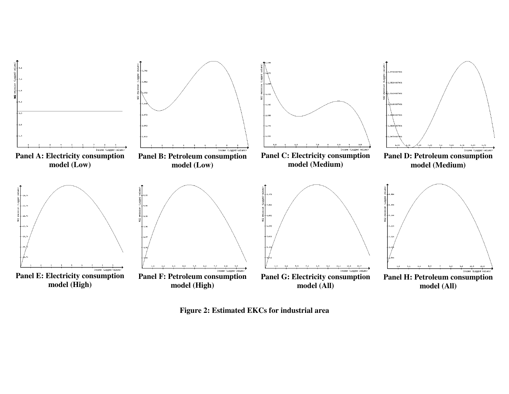

**Figure 2: Estimated EKCs for industrial area**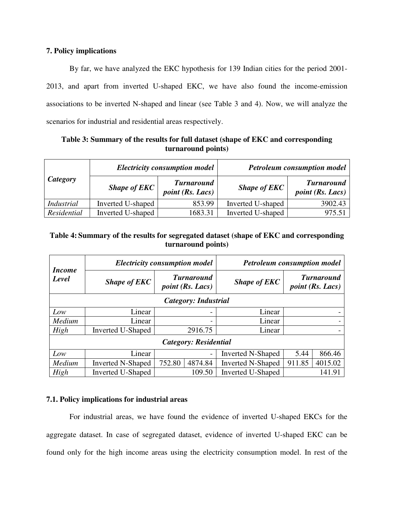## **7. Policy implications**

By far, we have analyzed the EKC hypothesis for 139 Indian cities for the period 2001- 2013, and apart from inverted U-shaped EKC, we have also found the income-emission associations to be inverted N-shaped and linear (see Table 3 and 4). Now, we will analyze the scenarios for industrial and residential areas respectively.

| Table 3: Summary of the results for full dataset (shape of EKC and corresponding |
|----------------------------------------------------------------------------------|
| turnaround points)                                                               |

|             |                   | <b>Electricity consumption model</b>         | <b>Petroleum consumption model</b> |                                              |  |  |
|-------------|-------------------|----------------------------------------------|------------------------------------|----------------------------------------------|--|--|
| Category    | Shape of $EKC$    | <b>Turnaround</b><br><i>point</i> (Rs. Lacs) | <b>Shape of EKC</b>                | <b>Turnaround</b><br><i>point</i> (Rs. Lacs) |  |  |
| Industrial  | Inverted U-shaped | 853.99                                       | Inverted U-shaped                  | 3902.43                                      |  |  |
| Residential | Inverted U-shaped | 1683.31                                      | Inverted U-shaped                  | 975.51                                       |  |  |

## **Table 4: Summary of the results for segregated dataset (shape of EKC and corresponding turnaround points)**

| <i>Income</i>               |                          | <b>Electricity consumption model</b>                                | <b>Petroleum consumption model</b> |        |                                              |  |  |  |  |
|-----------------------------|--------------------------|---------------------------------------------------------------------|------------------------------------|--------|----------------------------------------------|--|--|--|--|
| Level                       | <b>Shape of EKC</b>      | <b>Turnaround</b><br><b>Shape of EKC</b><br><i>point</i> (Rs. Lacs) |                                    |        | <b>Turnaround</b><br><i>point</i> (Rs. Lacs) |  |  |  |  |
| <b>Category: Industrial</b> |                          |                                                                     |                                    |        |                                              |  |  |  |  |
| Low                         | Linear                   | -                                                                   | Linear                             |        |                                              |  |  |  |  |
| Medium                      | Linear                   |                                                                     | Linear                             |        |                                              |  |  |  |  |
| High                        | <b>Inverted U-Shaped</b> | 2916.75                                                             | Linear                             |        |                                              |  |  |  |  |
| Category: Residential       |                          |                                                                     |                                    |        |                                              |  |  |  |  |
| Low                         | Linear                   | $\overline{\phantom{0}}$                                            | <b>Inverted N-Shaped</b>           | 5.44   | 866.46                                       |  |  |  |  |
| Medium                      | <b>Inverted N-Shaped</b> | 752.80<br>4874.84                                                   | <b>Inverted N-Shaped</b>           | 911.85 | 4015.02                                      |  |  |  |  |
| High                        | <b>Inverted U-Shaped</b> | 109.50                                                              | <b>Inverted U-Shaped</b>           | 141.91 |                                              |  |  |  |  |

## **7.1. Policy implications for industrial areas**

For industrial areas, we have found the evidence of inverted U-shaped EKCs for the aggregate dataset. In case of segregated dataset, evidence of inverted U-shaped EKC can be found only for the high income areas using the electricity consumption model. In rest of the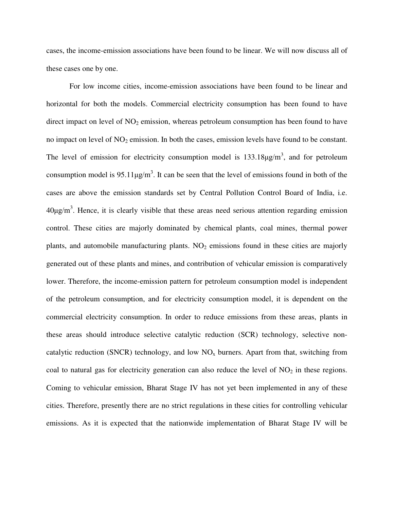cases, the income-emission associations have been found to be linear. We will now discuss all of these cases one by one.

For low income cities, income-emission associations have been found to be linear and horizontal for both the models. Commercial electricity consumption has been found to have direct impact on level of  $NO<sub>2</sub>$  emission, whereas petroleum consumption has been found to have no impact on level of  $NO<sub>2</sub>$  emission. In both the cases, emission levels have found to be constant. The level of emission for electricity consumption model is  $133.18 \mu g/m<sup>3</sup>$ , and for petroleum consumption model is 95.11 $\mu$ g/m<sup>3</sup>. It can be seen that the level of emissions found in both of the cases are above the emission standards set by Central Pollution Control Board of India, i.e.  $40\mu\text{g/m}^3$ . Hence, it is clearly visible that these areas need serious attention regarding emission control. These cities are majorly dominated by chemical plants, coal mines, thermal power plants, and automobile manufacturing plants.  $NO<sub>2</sub>$  emissions found in these cities are majorly generated out of these plants and mines, and contribution of vehicular emission is comparatively lower. Therefore, the income-emission pattern for petroleum consumption model is independent of the petroleum consumption, and for electricity consumption model, it is dependent on the commercial electricity consumption. In order to reduce emissions from these areas, plants in these areas should introduce selective catalytic reduction (SCR) technology, selective noncatalytic reduction (SNCR) technology, and low  $NO<sub>x</sub>$  burners. Apart from that, switching from coal to natural gas for electricity generation can also reduce the level of  $NO<sub>2</sub>$  in these regions. Coming to vehicular emission, Bharat Stage IV has not yet been implemented in any of these cities. Therefore, presently there are no strict regulations in these cities for controlling vehicular emissions. As it is expected that the nationwide implementation of Bharat Stage IV will be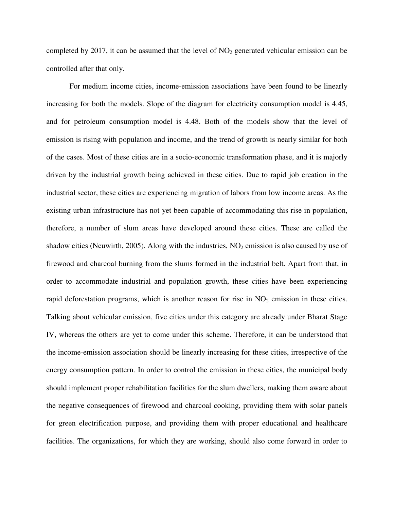completed by 2017, it can be assumed that the level of  $NO<sub>2</sub>$  generated vehicular emission can be controlled after that only.

For medium income cities, income-emission associations have been found to be linearly increasing for both the models. Slope of the diagram for electricity consumption model is 4.45, and for petroleum consumption model is 4.48. Both of the models show that the level of emission is rising with population and income, and the trend of growth is nearly similar for both of the cases. Most of these cities are in a socio-economic transformation phase, and it is majorly driven by the industrial growth being achieved in these cities. Due to rapid job creation in the industrial sector, these cities are experiencing migration of labors from low income areas. As the existing urban infrastructure has not yet been capable of accommodating this rise in population, therefore, a number of slum areas have developed around these cities. These are called the shadow cities (Neuwirth, 2005). Along with the industries,  $NO<sub>2</sub>$  emission is also caused by use of firewood and charcoal burning from the slums formed in the industrial belt. Apart from that, in order to accommodate industrial and population growth, these cities have been experiencing rapid deforestation programs, which is another reason for rise in  $NO<sub>2</sub>$  emission in these cities. Talking about vehicular emission, five cities under this category are already under Bharat Stage IV, whereas the others are yet to come under this scheme. Therefore, it can be understood that the income-emission association should be linearly increasing for these cities, irrespective of the energy consumption pattern. In order to control the emission in these cities, the municipal body should implement proper rehabilitation facilities for the slum dwellers, making them aware about the negative consequences of firewood and charcoal cooking, providing them with solar panels for green electrification purpose, and providing them with proper educational and healthcare facilities. The organizations, for which they are working, should also come forward in order to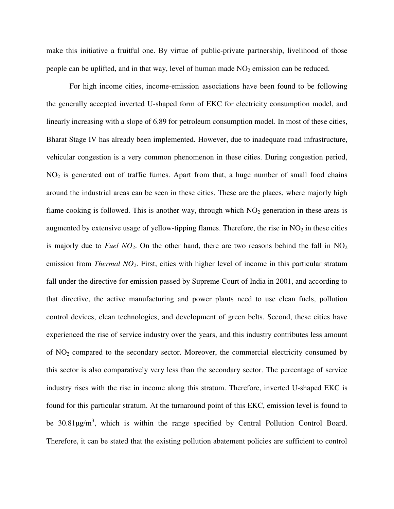make this initiative a fruitful one. By virtue of public-private partnership, livelihood of those people can be uplifted, and in that way, level of human made  $NO<sub>2</sub>$  emission can be reduced.

For high income cities, income-emission associations have been found to be following the generally accepted inverted U-shaped form of EKC for electricity consumption model, and linearly increasing with a slope of 6.89 for petroleum consumption model. In most of these cities, Bharat Stage IV has already been implemented. However, due to inadequate road infrastructure, vehicular congestion is a very common phenomenon in these cities. During congestion period, NO2 is generated out of traffic fumes. Apart from that, a huge number of small food chains around the industrial areas can be seen in these cities. These are the places, where majorly high flame cooking is followed. This is another way, through which  $NO<sub>2</sub>$  generation in these areas is augmented by extensive usage of yellow-tipping flames. Therefore, the rise in  $NO<sub>2</sub>$  in these cities is majorly due to *Fuel NO*<sub>2</sub>. On the other hand, there are two reasons behind the fall in  $NO<sub>2</sub>$ emission from *Thermal NO2*. First, cities with higher level of income in this particular stratum fall under the directive for emission passed by Supreme Court of India in 2001, and according to that directive, the active manufacturing and power plants need to use clean fuels, pollution control devices, clean technologies, and development of green belts. Second, these cities have experienced the rise of service industry over the years, and this industry contributes less amount of NO2 compared to the secondary sector. Moreover, the commercial electricity consumed by this sector is also comparatively very less than the secondary sector. The percentage of service industry rises with the rise in income along this stratum. Therefore, inverted U-shaped EKC is found for this particular stratum. At the turnaround point of this EKC, emission level is found to be  $30.81 \mu g/m^3$ , which is within the range specified by Central Pollution Control Board. Therefore, it can be stated that the existing pollution abatement policies are sufficient to control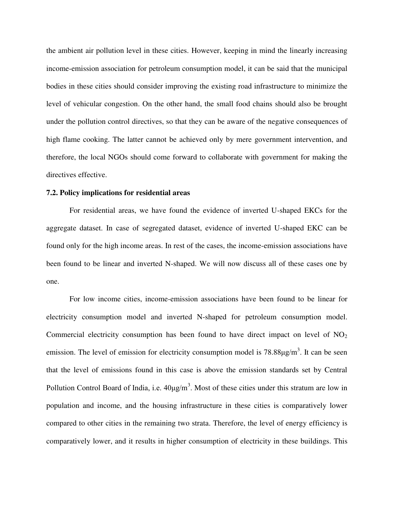the ambient air pollution level in these cities. However, keeping in mind the linearly increasing income-emission association for petroleum consumption model, it can be said that the municipal bodies in these cities should consider improving the existing road infrastructure to minimize the level of vehicular congestion. On the other hand, the small food chains should also be brought under the pollution control directives, so that they can be aware of the negative consequences of high flame cooking. The latter cannot be achieved only by mere government intervention, and therefore, the local NGOs should come forward to collaborate with government for making the directives effective.

#### **7.2. Policy implications for residential areas**

For residential areas, we have found the evidence of inverted U-shaped EKCs for the aggregate dataset. In case of segregated dataset, evidence of inverted U-shaped EKC can be found only for the high income areas. In rest of the cases, the income-emission associations have been found to be linear and inverted N-shaped. We will now discuss all of these cases one by one.

For low income cities, income-emission associations have been found to be linear for electricity consumption model and inverted N-shaped for petroleum consumption model. Commercial electricity consumption has been found to have direct impact on level of  $NO<sub>2</sub>$ emission. The level of emission for electricity consumption model is  $78.88\mu\text{g/m}^3$ . It can be seen that the level of emissions found in this case is above the emission standards set by Central Pollution Control Board of India, i.e.  $40\mu\text{g/m}^3$ . Most of these cities under this stratum are low in population and income, and the housing infrastructure in these cities is comparatively lower compared to other cities in the remaining two strata. Therefore, the level of energy efficiency is comparatively lower, and it results in higher consumption of electricity in these buildings. This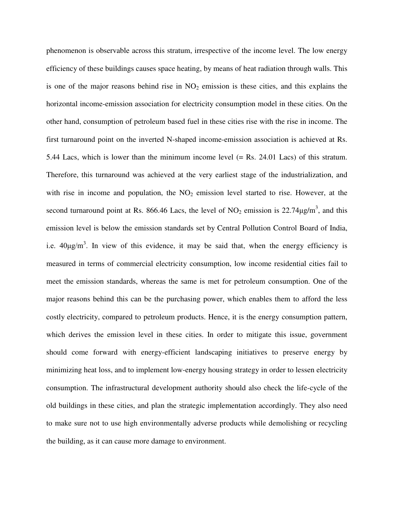phenomenon is observable across this stratum, irrespective of the income level. The low energy efficiency of these buildings causes space heating, by means of heat radiation through walls. This is one of the major reasons behind rise in  $NO<sub>2</sub>$  emission is these cities, and this explains the horizontal income-emission association for electricity consumption model in these cities. On the other hand, consumption of petroleum based fuel in these cities rise with the rise in income. The first turnaround point on the inverted N-shaped income-emission association is achieved at Rs. 5.44 Lacs, which is lower than the minimum income level (= Rs. 24.01 Lacs) of this stratum. Therefore, this turnaround was achieved at the very earliest stage of the industrialization, and with rise in income and population, the  $NO<sub>2</sub>$  emission level started to rise. However, at the second turnaround point at Rs. 866.46 Lacs, the level of  $NO<sub>2</sub>$  emission is 22.74 $\mu$ g/m<sup>3</sup>, and this emission level is below the emission standards set by Central Pollution Control Board of India, i.e.  $40\mu g/m^3$ . In view of this evidence, it may be said that, when the energy efficiency is measured in terms of commercial electricity consumption, low income residential cities fail to meet the emission standards, whereas the same is met for petroleum consumption. One of the major reasons behind this can be the purchasing power, which enables them to afford the less costly electricity, compared to petroleum products. Hence, it is the energy consumption pattern, which derives the emission level in these cities. In order to mitigate this issue, government should come forward with energy-efficient landscaping initiatives to preserve energy by minimizing heat loss, and to implement low-energy housing strategy in order to lessen electricity consumption. The infrastructural development authority should also check the life-cycle of the old buildings in these cities, and plan the strategic implementation accordingly. They also need to make sure not to use high environmentally adverse products while demolishing or recycling the building, as it can cause more damage to environment.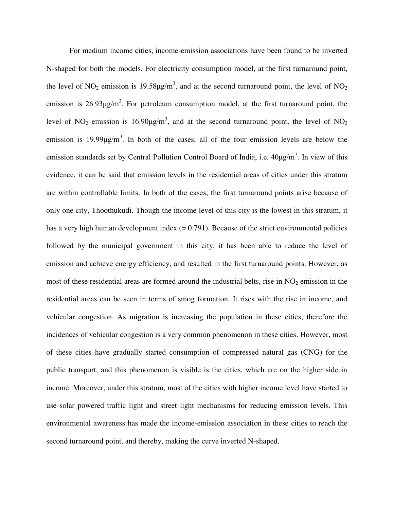For medium income cities, income-emission associations have been found to be inverted N-shaped for both the models. For electricity consumption model, at the first turnaround point, the level of NO<sub>2</sub> emission is 19.58 $\mu$ g/m<sup>3</sup>, and at the second turnaround point, the level of NO<sub>2</sub> emission is  $26.93\mu g/m^3$ . For petroleum consumption model, at the first turnaround point, the level of NO<sub>2</sub> emission is 16.90 $\mu$ g/m<sup>3</sup>, and at the second turnaround point, the level of NO<sub>2</sub> emission is 19.99 $\mu$ g/m<sup>3</sup>. In both of the cases, all of the four emission levels are below the emission standards set by Central Pollution Control Board of India, i.e. 40μg/m<sup>3</sup>. In view of this evidence, it can be said that emission levels in the residential areas of cities under this stratum are within controllable limits. In both of the cases, the first turnaround points arise because of only one city, Thoothukudi. Though the income level of this city is the lowest in this stratum, it has a very high human development index  $(= 0.791)$ . Because of the strict environmental policies followed by the municipal government in this city, it has been able to reduce the level of emission and achieve energy efficiency, and resulted in the first turnaround points. However, as most of these residential areas are formed around the industrial belts, rise in  $NO<sub>2</sub>$  emission in the residential areas can be seen in terms of smog formation. It rises with the rise in income, and vehicular congestion. As migration is increasing the population in these cities, therefore the incidences of vehicular congestion is a very common phenomenon in these cities. However, most of these cities have gradually started consumption of compressed natural gas (CNG) for the public transport, and this phenomenon is visible is the cities, which are on the higher side in income. Moreover, under this stratum, most of the cities with higher income level have started to use solar powered traffic light and street light mechanisms for reducing emission levels. This environmental awareness has made the income-emission association in these cities to reach the second turnaround point, and thereby, making the curve inverted N-shaped.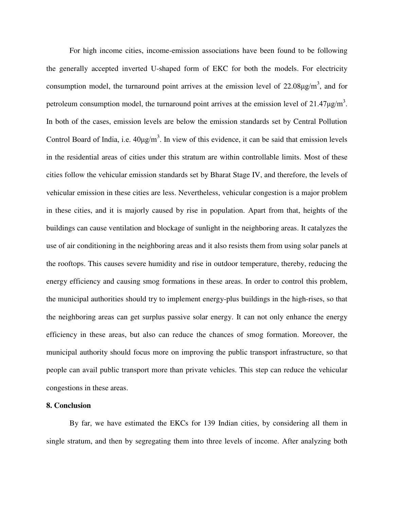For high income cities, income-emission associations have been found to be following the generally accepted inverted U-shaped form of EKC for both the models. For electricity consumption model, the turnaround point arrives at the emission level of  $22.08\mu g/m^3$ , and for petroleum consumption model, the turnaround point arrives at the emission level of  $21.47 \mu\text{g/m}^3$ . In both of the cases, emission levels are below the emission standards set by Central Pollution Control Board of India, i.e.  $40\mu g/m^3$ . In view of this evidence, it can be said that emission levels in the residential areas of cities under this stratum are within controllable limits. Most of these cities follow the vehicular emission standards set by Bharat Stage IV, and therefore, the levels of vehicular emission in these cities are less. Nevertheless, vehicular congestion is a major problem in these cities, and it is majorly caused by rise in population. Apart from that, heights of the buildings can cause ventilation and blockage of sunlight in the neighboring areas. It catalyzes the use of air conditioning in the neighboring areas and it also resists them from using solar panels at the rooftops. This causes severe humidity and rise in outdoor temperature, thereby, reducing the energy efficiency and causing smog formations in these areas. In order to control this problem, the municipal authorities should try to implement energy-plus buildings in the high-rises, so that the neighboring areas can get surplus passive solar energy. It can not only enhance the energy efficiency in these areas, but also can reduce the chances of smog formation. Moreover, the municipal authority should focus more on improving the public transport infrastructure, so that people can avail public transport more than private vehicles. This step can reduce the vehicular congestions in these areas.

#### **8. Conclusion**

By far, we have estimated the EKCs for 139 Indian cities, by considering all them in single stratum, and then by segregating them into three levels of income. After analyzing both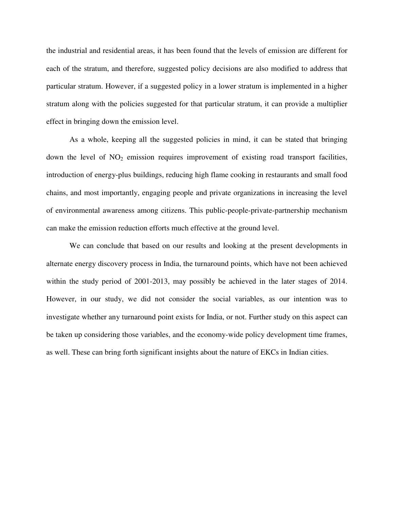the industrial and residential areas, it has been found that the levels of emission are different for each of the stratum, and therefore, suggested policy decisions are also modified to address that particular stratum. However, if a suggested policy in a lower stratum is implemented in a higher stratum along with the policies suggested for that particular stratum, it can provide a multiplier effect in bringing down the emission level.

As a whole, keeping all the suggested policies in mind, it can be stated that bringing down the level of  $NO<sub>2</sub>$  emission requires improvement of existing road transport facilities, introduction of energy-plus buildings, reducing high flame cooking in restaurants and small food chains, and most importantly, engaging people and private organizations in increasing the level of environmental awareness among citizens. This public-people-private-partnership mechanism can make the emission reduction efforts much effective at the ground level.

We can conclude that based on our results and looking at the present developments in alternate energy discovery process in India, the turnaround points, which have not been achieved within the study period of 2001-2013, may possibly be achieved in the later stages of 2014. However, in our study, we did not consider the social variables, as our intention was to investigate whether any turnaround point exists for India, or not. Further study on this aspect can be taken up considering those variables, and the economy-wide policy development time frames, as well. These can bring forth significant insights about the nature of EKCs in Indian cities.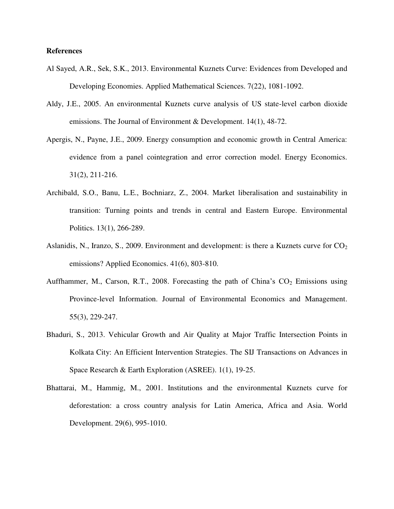#### **References**

- Al Sayed, A.R., Sek, S.K., 2013. Environmental Kuznets Curve: Evidences from Developed and Developing Economies. Applied Mathematical Sciences. 7(22), 1081-1092.
- Aldy, J.E., 2005. An environmental Kuznets curve analysis of US state-level carbon dioxide emissions. The Journal of Environment & Development. 14(1), 48-72.
- Apergis, N., Payne, J.E., 2009. Energy consumption and economic growth in Central America: evidence from a panel cointegration and error correction model. Energy Economics. 31(2), 211-216.
- Archibald, S.O., Banu, L.E., Bochniarz, Z., 2004. Market liberalisation and sustainability in transition: Turning points and trends in central and Eastern Europe. Environmental Politics. 13(1), 266-289.
- Aslanidis, N., Iranzo, S., 2009. Environment and development: is there a Kuznets curve for  $CO<sub>2</sub>$ emissions? Applied Economics. 41(6), 803-810.
- Auffhammer, M., Carson, R.T., 2008. Forecasting the path of China's  $CO<sub>2</sub>$  Emissions using Province-level Information. Journal of Environmental Economics and Management. 55(3), 229-247.
- Bhaduri, S., 2013. Vehicular Growth and Air Quality at Major Traffic Intersection Points in Kolkata City: An Efficient Intervention Strategies. The SIJ Transactions on Advances in Space Research & Earth Exploration (ASREE). 1(1), 19-25.
- Bhattarai, M., Hammig, M., 2001. Institutions and the environmental Kuznets curve for deforestation: a cross country analysis for Latin America, Africa and Asia. World Development. 29(6), 995-1010.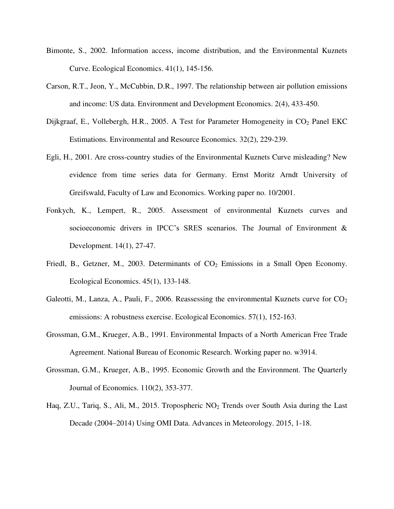- Bimonte, S., 2002. Information access, income distribution, and the Environmental Kuznets Curve. Ecological Economics. 41(1), 145-156.
- Carson, R.T., Jeon, Y., McCubbin, D.R., 1997. The relationship between air pollution emissions and income: US data. Environment and Development Economics. 2(4), 433-450.
- Dijkgraaf, E., Vollebergh, H.R., 2005. A Test for Parameter Homogeneity in CO<sub>2</sub> Panel EKC Estimations. Environmental and Resource Economics. 32(2), 229-239.
- Egli, H., 2001. Are cross-country studies of the Environmental Kuznets Curve misleading? New evidence from time series data for Germany. Ernst Moritz Arndt University of Greifswald, Faculty of Law and Economics. Working paper no. 10/2001.
- Fonkych, K., Lempert, R., 2005. Assessment of environmental Kuznets curves and socioeconomic drivers in IPCC's SRES scenarios. The Journal of Environment & Development. 14(1), 27-47.
- Friedl, B., Getzner, M., 2003. Determinants of  $CO<sub>2</sub>$  Emissions in a Small Open Economy. Ecological Economics. 45(1), 133-148.
- Galeotti, M., Lanza, A., Pauli, F., 2006. Reassessing the environmental Kuznets curve for  $CO<sub>2</sub>$ emissions: A robustness exercise. Ecological Economics. 57(1), 152-163.
- Grossman, G.M., Krueger, A.B., 1991. Environmental Impacts of a North American Free Trade Agreement. National Bureau of Economic Research. Working paper no. w3914.
- Grossman, G.M., Krueger, A.B., 1995. Economic Growth and the Environment. The Quarterly Journal of Economics. 110(2), 353-377.
- Haq, Z.U., Tariq, S., Ali, M., 2015. Tropospheric NO<sub>2</sub> Trends over South Asia during the Last Decade (2004–2014) Using OMI Data. Advances in Meteorology. 2015, 1-18.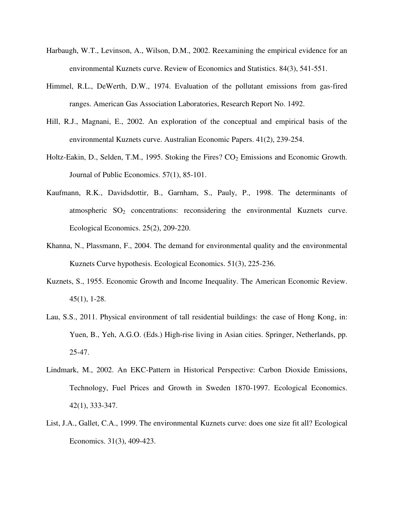- Harbaugh, W.T., Levinson, A., Wilson, D.M., 2002. Reexamining the empirical evidence for an environmental Kuznets curve. Review of Economics and Statistics. 84(3), 541-551.
- Himmel, R.L., DeWerth, D.W., 1974. Evaluation of the pollutant emissions from gas-fired ranges. American Gas Association Laboratories, Research Report No. 1492.
- Hill, R.J., Magnani, E., 2002. An exploration of the conceptual and empirical basis of the environmental Kuznets curve. Australian Economic Papers. 41(2), 239-254.
- Holtz-Eakin, D., Selden, T.M., 1995. Stoking the Fires?  $CO<sub>2</sub>$  Emissions and Economic Growth. Journal of Public Economics. 57(1), 85-101.
- Kaufmann, R.K., Davidsdottir, B., Garnham, S., Pauly, P., 1998. The determinants of atmospheric  $SO<sub>2</sub>$  concentrations: reconsidering the environmental Kuznets curve. Ecological Economics. 25(2), 209-220.
- Khanna, N., Plassmann, F., 2004. The demand for environmental quality and the environmental Kuznets Curve hypothesis. Ecological Economics. 51(3), 225-236.
- Kuznets, S., 1955. Economic Growth and Income Inequality. The American Economic Review. 45(1), 1-28.
- Lau, S.S., 2011. Physical environment of tall residential buildings: the case of Hong Kong, in: Yuen, B., Yeh, A.G.O. (Eds.) High-rise living in Asian cities. Springer, Netherlands, pp. 25-47.
- Lindmark, M., 2002. An EKC-Pattern in Historical Perspective: Carbon Dioxide Emissions, Technology, Fuel Prices and Growth in Sweden 1870-1997. Ecological Economics. 42(1), 333-347.
- List, J.A., Gallet, C.A., 1999. The environmental Kuznets curve: does one size fit all? Ecological Economics. 31(3), 409-423.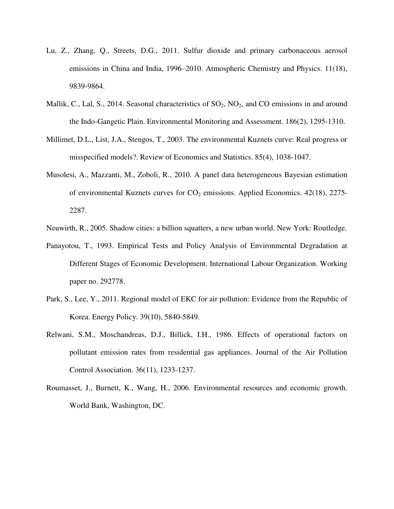- Lu, Z., Zhang, Q., Streets, D.G., 2011. Sulfur dioxide and primary carbonaceous aerosol emissions in China and India, 1996–2010. Atmospheric Chemistry and Physics. 11(18), 9839-9864.
- Mallik, C., Lal, S., 2014. Seasonal characteristics of  $SO_2$ ,  $NO_2$ , and CO emissions in and around the Indo-Gangetic Plain. Environmental Monitoring and Assessment. 186(2), 1295-1310.
- Millimet, D.L., List, J.A., Stengos, T., 2003. The environmental Kuznets curve: Real progress or misspecified models?. Review of Economics and Statistics. 85(4), 1038-1047.
- Musolesi, A., Mazzanti, M., Zoboli, R., 2010. A panel data heterogeneous Bayesian estimation of environmental Kuznets curves for  $CO<sub>2</sub>$  emissions. Applied Economics. 42(18), 2275-2287.
- Neuwirth, R., 2005. Shadow cities: a billion squatters, a new urban world. New York: Routledge.
- Panayotou, T., 1993. Empirical Tests and Policy Analysis of Environmental Degradation at Different Stages of Economic Development. International Labour Organization. Working paper no. 292778.
- Park, S., Lee, Y., 2011. Regional model of EKC for air pollution: Evidence from the Republic of Korea. Energy Policy. 39(10), 5840-5849.
- Relwani, S.M., Moschandreas, D.J., Billick, I.H., 1986. Effects of operational factors on pollutant emission rates from residential gas appliances. Journal of the Air Pollution Control Association. 36(11), 1233-1237.
- Roumasset, J., Burnett, K., Wang, H., 2006. Environmental resources and economic growth. World Bank, Washington, DC.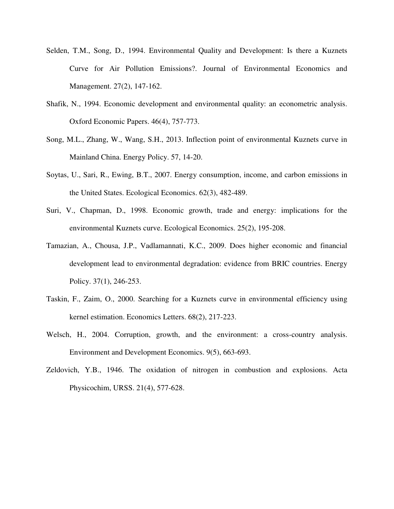- Selden, T.M., Song, D., 1994. Environmental Quality and Development: Is there a Kuznets Curve for Air Pollution Emissions?. Journal of Environmental Economics and Management. 27(2), 147-162.
- Shafik, N., 1994. Economic development and environmental quality: an econometric analysis. Oxford Economic Papers. 46(4), 757-773.
- Song, M.L., Zhang, W., Wang, S.H., 2013. Inflection point of environmental Kuznets curve in Mainland China. Energy Policy. 57, 14-20.
- Soytas, U., Sari, R., Ewing, B.T., 2007. Energy consumption, income, and carbon emissions in the United States. Ecological Economics. 62(3), 482-489.
- Suri, V., Chapman, D., 1998. Economic growth, trade and energy: implications for the environmental Kuznets curve. Ecological Economics. 25(2), 195-208.
- Tamazian, A., Chousa, J.P., Vadlamannati, K.C., 2009. Does higher economic and financial development lead to environmental degradation: evidence from BRIC countries. Energy Policy. 37(1), 246-253.
- Taskin, F., Zaim, O., 2000. Searching for a Kuznets curve in environmental efficiency using kernel estimation. Economics Letters. 68(2), 217-223.
- Welsch, H., 2004. Corruption, growth, and the environment: a cross-country analysis. Environment and Development Economics. 9(5), 663-693.
- Zeldovich, Y.B., 1946. The oxidation of nitrogen in combustion and explosions. Acta Physicochim, URSS. 21(4), 577-628.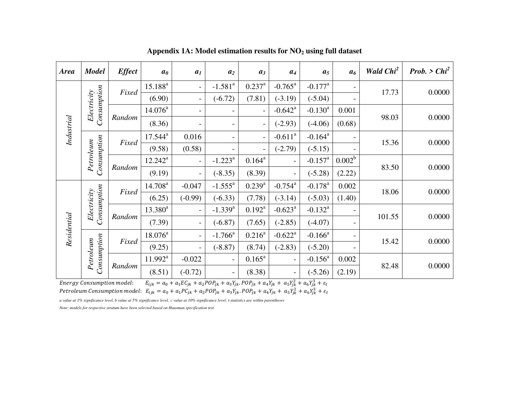| <b>Area</b> | <b>Model</b>                       | <b>Effect</b> | a <sub>0</sub>      | a <sub>I</sub>           | $a_2$                    | $a_3$                    | $a_4$                    | a <sub>5</sub>        | a <sub>6</sub>           | <b>Wald Chi<sup>2</sup></b> | Prob. > $Chi^2$ |
|-------------|------------------------------------|---------------|---------------------|--------------------------|--------------------------|--------------------------|--------------------------|-----------------------|--------------------------|-----------------------------|-----------------|
|             |                                    | Fixed         | $15.188^{a}$        | $\overline{\phantom{0}}$ | $-1.581$ <sup>a</sup>    | $0.237^{\rm a}$          | $-0.765^{\rm a}$         | $-0.177$ <sup>a</sup> | $\overline{\phantom{a}}$ |                             | 0.0000          |
|             |                                    | (6.90)        | -                   | $(-6.72)$                | (7.81)                   | $(-3.19)$                | $(-5.04)$                |                       | 17.73                    |                             |                 |
|             | Consumption<br>Electricity         |               | $14.076^{\circ}$    | $\qquad \qquad -$        | -                        |                          | $-0.642$ <sup>a</sup>    | $-0.130^a$            | 0.001                    |                             |                 |
| Industrial  |                                    | Random        | (8.36)              | $\overline{\phantom{0}}$ | $\overline{a}$           | $\overline{\phantom{0}}$ | $(-2.93)$                | $(-4.06)$             | (0.68)                   | 98.03                       | 0.0000          |
|             |                                    | Fixed         | $17.544^a$          | 0.016                    |                          |                          | $-0.611^a$               | $-0.164$ <sup>a</sup> |                          | 15.36                       | 0.0000          |
|             |                                    |               | (9.58)              | (0.58)                   |                          | $\overline{\phantom{a}}$ | $(-2.79)$                | $(-5.15)$             |                          |                             |                 |
|             | Consumption<br>Petroleum<br>Random |               | $12.242^a$          | $\overline{\phantom{a}}$ | $-1.223^a$               | $0.164^a$                |                          | $-0.157$ <sup>a</sup> | $0.002^b$                | 83.50                       |                 |
|             |                                    |               | (9.19)              | $\overline{\phantom{0}}$ | $(-8.35)$                | (8.39)                   |                          | $(-5.28)$             | (2.22)                   |                             | 0.0000          |
|             |                                    | Fixed         | 14.708 <sup>a</sup> | $-0.047$                 | $-1.555^{\text{a}}$      | $0.239^{a}$              | $-0.754$ <sup>a</sup>    | $-0.178$ <sup>a</sup> | 0.002                    |                             | 0.0000          |
|             |                                    |               | (6.25)              | $(-0.99)$                | $(-6.33)$                | (7.78)                   | $(-3.14)$                | $(-5.03)$             | (1.40)                   | 18.06                       |                 |
|             | Consumption<br>Electricity         |               | $13.380^a$          | $\overline{\phantom{a}}$ | $-1.339$ <sup>a</sup>    | $0.192^{\text{a}}$       | $-0.623^{\rm a}$         | $-0.132^a$            |                          |                             |                 |
| Residential |                                    | Random        | (7.39)              | $\overline{\phantom{0}}$ | $(-6.87)$                | (7.65)                   | $(-2.85)$                | $(-4.07)$             | -                        | 101.55                      | 0.0000          |
|             |                                    | Fixed         | $18.076^a$          | $\overline{\phantom{0}}$ | $-1.766^a$               | $0.216^a$                | $-0.622$ <sup>a</sup>    | $-0.166^a$            |                          |                             | 0.0000          |
|             |                                    |               | (9.25)              | $\overline{\phantom{0}}$ | $(-8.87)$                | (8.74)                   | $(-2.83)$                | $(-5.20)$             |                          | 15.42                       |                 |
|             | Consumption<br>Petroleum           |               | $11.992^a$          | $-0.022$                 | $\overline{\phantom{a}}$ | $0.165^{\rm a}$          | $\overline{\phantom{a}}$ | $-0.156^a$            | 0.002                    |                             |                 |
|             |                                    | Random        | (8.51)              | $(-0.72)$                | $\overline{\phantom{a}}$ | (8.38)                   |                          | $(-5.26)$             | (2.19)                   | 82.48                       | 0.0000          |

**Appendix 1A: Model estimation results for NO2 using full dataset** 

Energy Consumption model:  $E_{ijk} = a_0 + a_1 E C_{jk} + a_2 P O P_{jk} + a_3 Y_{jk}$ .  $P O P_{jk} + a_4 Y_{jk} + a_5 Y_{jk}^2 + a_6 Y_{jk}^3$ Petroleum Consumption model:  $E_{ijk} = a_0 + a_1PC_{jk} + a_2POP_{jk} + a_3Y_{jk}$ . POP $_{jk} + a_4Y_{jk} + a_5Y_{jk}^2 + a_6Y_{jk}^3$ 

*a value at 1% significance level, b value at 5% significance level, c value at 10% significance level; t-statistics are within parentheses*

*Note: models for respective stratum have been selected based on Hausman specification test*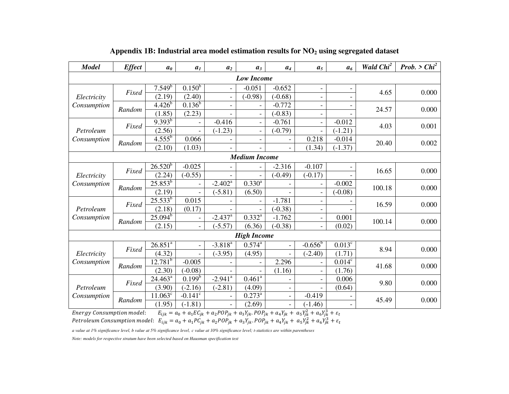| <b>Model</b> | <b>Effect</b> | a <sub>0</sub>       | a <sub>I</sub>           | a <sub>2</sub>           | $a_3$                    | a <sub>4</sub>           | a <sub>5</sub>           | a <sub>6</sub>           | Wald Chi <sup>2</sup> | Prob. > $Chi^2$ |
|--------------|---------------|----------------------|--------------------------|--------------------------|--------------------------|--------------------------|--------------------------|--------------------------|-----------------------|-----------------|
|              |               |                      |                          |                          | <b>Low Income</b>        |                          |                          |                          |                       |                 |
|              | Fixed         | $7.549^{b}$          | $0.150^{6}$              |                          | $-0.051$                 | $-0.652$                 |                          | $\overline{\phantom{a}}$ | 4.65                  | 0.000           |
| Electricity  |               | (2.19)               | (2.40)                   | $\overline{\phantom{a}}$ | $(-0.98)$                | $(-0.68)$                |                          |                          |                       |                 |
| Consumption  | Random        | $4.426^{b}$          | $0.136^{b}$              |                          |                          | $-0.772$                 | $\overline{\phantom{0}}$ | -                        | 24.57                 | 0.000           |
|              |               | (1.85)               | (2.23)                   |                          | $\overline{\phantom{a}}$ | $(-0.83)$                |                          |                          |                       |                 |
|              | Fixed         | $9.393^{b}$          | $\overline{\phantom{a}}$ | $-0.416$                 | $\overline{\phantom{a}}$ | $-0.761$                 | $\overline{\phantom{a}}$ | $-0.012$                 | 4.03                  | 0.001           |
| Petroleum    |               | (2.56)               | $\blacksquare$           | $(-1.23)$                | $\overline{\phantom{a}}$ | $(-0.79)$                |                          | $(-1.21)$                |                       |                 |
| Consumption  | Random        | $4.5\overline{55^b}$ | 0.066                    |                          | $\overline{\phantom{a}}$ |                          | 0.218                    | $-0.014$                 | 20.40                 | 0.002           |
|              |               | (2.10)               | (1.03)                   |                          |                          |                          | (1.34)                   | $(-1.37)$                |                       |                 |
|              |               |                      |                          |                          | <b>Medium Income</b>     |                          |                          |                          |                       |                 |
|              | Fixed         | $26.520^{b}$         | $-0.025$                 |                          |                          | $-2.316$                 | $-0.107$                 |                          | 16.65                 | 0.000           |
| Electricity  |               | (2.24)               | $(-0.55)$                |                          |                          | $(-0.49)$                | $(-0.17)$                |                          |                       |                 |
| Consumption  | Random        | $25.853^{b}$         | $\overline{\phantom{a}}$ | $-2.402^a$               | $0.330^{a}$              |                          |                          | $-0.002$                 | 100.18                | 0.000           |
|              |               | (2.19)               | $\overline{\phantom{a}}$ | $(-5.81)$                | (6.50)                   |                          | $\overline{\phantom{a}}$ | $(-0.08)$                |                       |                 |
|              | Fixed         | $25.533^{b}$         | 0.015                    |                          |                          | $-1.781$                 | $\overline{\phantom{a}}$ |                          | 16.59                 | 0.000           |
| Petroleum    |               | (2.18)               | (0.17)                   |                          |                          | $(-0.38)$                | $\overline{\phantom{a}}$ |                          |                       |                 |
| Consumption  | Random        | $25.094^{b}$         | $\overline{\phantom{a}}$ | $-2.437$ <sup>a</sup>    | $0.332^{a}$              | $-1.762$                 | $\blacksquare$           | 0.001                    | 100.14                | 0.000           |
|              |               | (2.15)               | $\overline{\phantom{a}}$ | $(-5.57)$                | (6.36)                   | $(-0.38)$                | $\overline{\phantom{a}}$ | (0.02)                   |                       |                 |
|              |               |                      |                          |                          | <b>High Income</b>       |                          |                          |                          |                       |                 |
|              | Fixed         | $26.851^{a}$         | $\overline{\phantom{a}}$ | $-3.818^{a}$             | $0.574^{a}$              | $\overline{\phantom{a}}$ | $-0.656^b$               | $0.013$ <sup>c</sup>     | 8.94                  | 0.000           |
| Electricity  |               | (4.32)               |                          | $(-3.95)$                | (4.95)                   |                          | $(-2.40)$                | (1.71)                   |                       |                 |
| Consumption  | Random        | $12.781^{b}$         | $-0.005$                 |                          |                          | 2.296                    | $\overline{\phantom{a}}$ | 0.014 <sup>c</sup>       | 41.68                 | 0.000           |
|              |               | (2.30)               | $(-0.08)$                |                          |                          | (1.16)                   | $\overline{\phantom{a}}$ | (1.76)                   |                       |                 |
|              | Fixed         | $24.463^a$           | 0.199 <sup>b</sup>       | $-2.941$ <sup>a</sup>    | $0.461^{\overline{a}}$   |                          | $\overline{\phantom{a}}$ | 0.006                    | 9.80                  | 0.000           |
| Petroleum    |               | (3.90)               | $(-2.16)$                | $(-2.81)$                | (4.09)                   | $\overline{\phantom{a}}$ |                          | (0.64)                   |                       |                 |
| Consumption  |               | $11.063^c$           | $-0.141$ <sup>c</sup>    | $\overline{\phantom{a}}$ | $0.273^a$                | $\overline{\phantom{a}}$ | $-0.419$                 |                          | 45.49                 | 0.000           |
|              | Random        | (1.95)               | $(-1.81)$                |                          | (2.69)                   |                          | $(-1.46)$                |                          |                       |                 |

## **Appendix 1B: Industrial area model estimation results for NO2 using segregated dataset**

Energy Consumption model:  $E_{ijk} = a_0 + a_1 E C_{jk} + a_2 P O P_{jk} + a_3 Y_{jk}$ .  $POP_{jk} + a_4 Y_{jk} + a_5 Y_{jk}^2 + a_6 Y_{jk}^3$ 

Petroleum Consumption model:  $E_{ijk} = a_0 + a_1PC_{jk} + a_2POP_{jk} + a_3Y_{jk}$ . PO $P_{jk} + a_4Y_{jk} + a_5Y_{jk}^2 + a_6Y_{jk}^3$ 

*a value at 1% significance level, b value at 5% significance level, c value at 10% significance level; t-statistics are within parentheses* 

*Note: models for respective stratum have been selected based on Hausman specification test*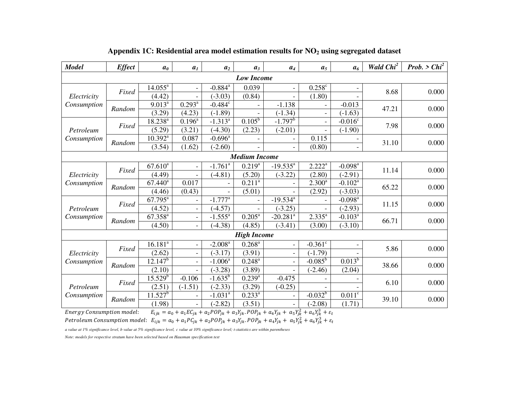| <b>Model</b> | <b>Effect</b> | a <sub>0</sub>        | a <sub>1</sub>           | a <sub>2</sub>          | $a_3$                  | $a_4$                    | a <sub>5</sub>        | a <sub>6</sub>         | Wald Chi <sup>2</sup> | Prob. > $Chi^2$ |
|--------------|---------------|-----------------------|--------------------------|-------------------------|------------------------|--------------------------|-----------------------|------------------------|-----------------------|-----------------|
|              |               |                       |                          |                         | <b>Low Income</b>      |                          |                       |                        |                       |                 |
|              |               | $14.055^{\circ}$      |                          | $-0.884^a$              | 0.039                  |                          | $0.258$ c             |                        |                       | 0.000           |
| Electricity  | Fixed         | (4.42)                |                          | $(-3.03)$               | (0.84)                 |                          | (1.80)                |                        | 8.68                  |                 |
| Consumption  | Random        | $9.013^a$             | $0.293^{\overline{a}}$   | $-0.484^c$              |                        | $-1.138$                 |                       | $-0.013$               | 47.21                 | 0.000           |
|              |               | (3.29)                | (4.23)                   | $(-1.89)$               |                        | $(-1.34)$                |                       | $(-1.63)$              |                       |                 |
|              | Fixed         | $18.238^{a}$          | $0.196^{\circ}$          | $-1.313^{\overline{a}}$ | $0.105^b$              | $-1.797$ <sup>b</sup>    |                       | $-0.016^c$             | 7.98                  | 0.000           |
| Petroleum    |               | (5.29)                | (3.21)                   | $(-4.30)$               | (2.23)                 | $(-2.01)$                |                       | $(-1.90)$              |                       |                 |
| Consumption  | Random        | $10.392^a$            | 0.087                    | $-0.696^{\overline{a}}$ |                        |                          | 0.115                 |                        | 31.10                 | 0.000           |
|              |               | (3.54)                | (1.62)                   | $(-2.60)$               |                        |                          | (0.80)                |                        |                       |                 |
|              |               |                       |                          |                         | <b>Medium Income</b>   |                          |                       |                        |                       |                 |
|              | Fixed         | $67.610^{a}$          |                          | $-1.761$ <sup>a</sup>   | $0.219^{a}$            | $-19.535^a$              | $2.222^a$             | $-0.098$ <sup>a</sup>  | 11.14                 | 0.000           |
| Electricity  |               | (4.49)                | $\overline{\phantom{a}}$ | $(-4.81)$               | (5.20)                 | $(-3.22)$                | (2.80)                | $(-2.91)$              |                       |                 |
| Consumption  | Random        | $67.440$ <sup>a</sup> | 0.017                    |                         | $0.21\overline{1^a}$   |                          | $2.300^a$             | $-0.102^{\rm a}$       | 65.22                 | 0.000           |
|              |               | (4.46)                | (0.43)                   |                         | (5.01)                 |                          | (2.92)                | $(-3.03)$              |                       |                 |
|              | Fixed         | $67.795^{a}$          | $\blacksquare$           | $-1.777$ <sup>a</sup>   |                        | $-19.534^{a}$            |                       | $-0.098^{a}$           | 11.15                 | 0.000           |
| Petroleum    |               | (4.52)                | $\overline{\phantom{a}}$ | $(-4.57)$               |                        | $(-3.25)$                |                       | $(-2.93)$              |                       |                 |
| Consumption  | Random        | $67.358^{a}$          | $\blacksquare$           | $-1.555^a$              | $0.205^{\rm a}$        | $-20.281$ <sup>a</sup>   | $2.335^{a}$           | $-0.103^a$             | 66.71                 | 0.000           |
|              |               | (4.50)                | $\overline{\phantom{0}}$ | $(-4.38)$               | (4.85)                 | $(-3.41)$                | (3.00)                | $(-3.10)$              |                       |                 |
|              |               |                       |                          |                         | <b>High Income</b>     |                          |                       |                        |                       |                 |
|              | Fixed         | $16.181^{a}$          | $\overline{\phantom{a}}$ | $-2.008$ <sup>a</sup>   | $0.268^{\rm a}$        | $\overline{\phantom{0}}$ | $-0.361$ <sup>c</sup> |                        | 5.86                  | 0.000           |
| Electricity  |               | (2.62)                | $\blacksquare$           | $(-3.17)$               | (3.91)                 |                          | $(-1.79)$             |                        |                       |                 |
| Consumption  | Random        | $12.147^{b}$          | $\blacksquare$           | $-1.006^a$              | $0.248^{\rm a}$        | $\overline{\phantom{0}}$ | $-0.085^{\rm b}$      | $0.013^{6}$            | 38.66                 | 0.000           |
|              |               | (2.10)                |                          | $(-3.28)$               | (3.89)                 |                          | $(-2.46)$             | (2.04)                 |                       |                 |
|              | Fixed         | $15.529^{b}$          | $-0.106$                 | $-1.635^{b}$            | $0.239^{a}$            | $-0.475$                 |                       |                        | 6.10                  | 0.000           |
| Petroleum    |               | (2.51)                | $(-1.51)$                | $(-2.33)$               | (3.29)                 | $(-0.25)$                |                       |                        |                       |                 |
| Consumption  | Random        | $11.527^b$            |                          | $-1.031$ <sup>a</sup>   | $0.233^{\overline{a}}$ |                          | $-0.032^{b}$          | $0.011^{\overline{c}}$ | 39.10                 | 0.000           |
|              |               | (1.98)                | $\overline{\phantom{0}}$ | $(-2.82)$               | (3.51)                 | $\qquad \qquad -$        | $(-2.08)$             | (1.71)                 |                       |                 |

**Appendix 1C: Residential area model estimation results for NO2 using segregated dataset** 

Energy Consumption model:  $E_{ijk} = a_0 + a_1 E C_{jk} + a_2 P O P_{jk} + a_3 Y_{jk}$ .  $P O P_{jk} + a_4 Y_{jk} + a_5 Y_{jk}^2 + a_6 Y_{jk}^3$ Petroleum Consumption model:  $E_{ijk} = a_0 + a_1PC_{jk} + a_2POP_{jk} + a_3Y_{jk}$ . PO $P_{jk} + a_4Y_{jk} + a_5Y_{jk}^2 + a_6Y_{jk}^3$ 

*a value at 1% significance level, b value at 5% significance level, c value at 10% significance level; t-statistics are within parentheses*

*Note: models for respective stratum have been selected based on Hausman specification test*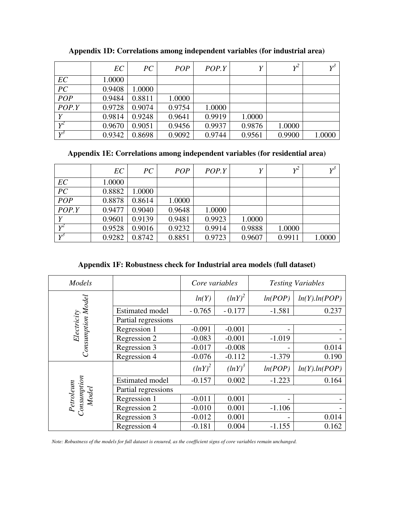|       | EC     | PC     | <b>POP</b> | POP.Y  | Y      | $v^2$  | $V^3$  |
|-------|--------|--------|------------|--------|--------|--------|--------|
| EC    | 1.0000 |        |            |        |        |        |        |
| PC    | 0.9408 | 1.0000 |            |        |        |        |        |
| POP   | 0.9484 | 0.8811 | 1.0000     |        |        |        |        |
| POP.Y | 0.9728 | 0.9074 | 0.9754     | 1.0000 |        |        |        |
| Y     | 0.9814 | 0.9248 | 0.9641     | 0.9919 | 1.0000 |        |        |
| $Y^2$ | 0.9670 | 0.9051 | 0.9456     | 0.9937 | 0.9876 | 1.0000 |        |
| $V^3$ | 0.9342 | 0.8698 | 0.9092     | 0.9744 | 0.9561 | 0.9900 | 1.0000 |

**Appendix 1D: Correlations among independent variables (for industrial area)** 

**Appendix 1E: Correlations among independent variables (for residential area)**

|                 | EC     | PC     | <b>POP</b> | POP.Y  | Y      | $v^2$  | $V^3$  |
|-----------------|--------|--------|------------|--------|--------|--------|--------|
| EC              | 1.0000 |        |            |        |        |        |        |
| $\overline{PC}$ | 0.8882 | 1.0000 |            |        |        |        |        |
| POP             | 0.8878 | 0.8614 | 1.0000     |        |        |        |        |
| POP.Y           | 0.9477 | 0.9040 | 0.9648     | 1.0000 |        |        |        |
| Y               | 0.9601 | 0.9139 | 0.9481     | 0.9923 | 1.0000 |        |        |
| $Y^2$           | 0.9528 | 0.9016 | 0.9232     | 0.9914 | 0.9888 | 1.0000 |        |
| $Y^3$           | 0.9282 | 0.8742 | 0.8851     | 0.9723 | 0.9607 | 0.9911 | 1.0000 |

**Appendix 1F: Robustness check for Industrial area models (full dataset)** 

| Models                   |                        | Core variables |           |          | <b>Testing Variables</b> |  |  |  |  |
|--------------------------|------------------------|----------------|-----------|----------|--------------------------|--|--|--|--|
| Consumption Model        |                        | ln(Y)          | $(lnY)^2$ | ln(POP)  | ln(Y).ln(POP)            |  |  |  |  |
|                          | <b>Estimated model</b> | $-0.765$       | $-0.177$  | $-1.581$ | 0.237                    |  |  |  |  |
| Electricity              | Partial regressions    |                |           |          |                          |  |  |  |  |
|                          | Regression 1           | $-0.091$       | $-0.001$  |          |                          |  |  |  |  |
|                          | Regression 2           | $-0.083$       | $-0.001$  | $-1.019$ |                          |  |  |  |  |
|                          | Regression 3           | $-0.017$       | $-0.008$  |          | 0.014                    |  |  |  |  |
|                          | Regression 4           | $-0.076$       | $-0.112$  | $-1.379$ | 0.190                    |  |  |  |  |
|                          |                        | $(lnY)^2$      | $(lnY)^3$ | ln(POP)  | ln(Y).ln(POP)            |  |  |  |  |
|                          | <b>Estimated model</b> | $-0.157$       | 0.002     | $-1.223$ | 0.164                    |  |  |  |  |
|                          | Partial regressions    |                |           |          |                          |  |  |  |  |
| Model                    | Regression 1           | $-0.011$       | 0.001     |          |                          |  |  |  |  |
| Petroleum<br>Consumption | Regression 2           | $-0.010$       | 0.001     | $-1.106$ |                          |  |  |  |  |
|                          | Regression 3           | $-0.012$       | 0.001     |          | 0.014                    |  |  |  |  |
|                          | Regression 4           | $-0.181$       | 0.004     | $-1.155$ | 0.162                    |  |  |  |  |

*Note: Robustness of the models for full dataset is ensured, as the coefficient signs of core variables remain unchanged.*